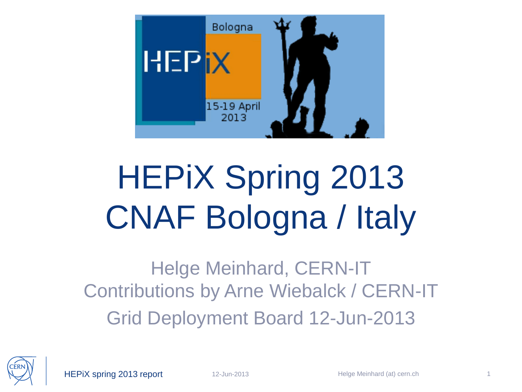

# HEPiX Spring 2013 CNAF Bologna / Italy

Helge Meinhard, CERN-IT Contributions by Arne Wiebalck / CERN-IT Grid Deployment Board 12-Jun-2013

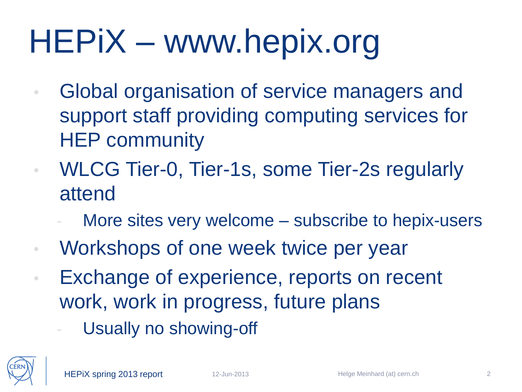# HEPiX – www.hepix.org

- Global organisation of service managers and support staff providing computing services for HEP community
- WLCG Tier-0, Tier-1s, some Tier-2s regularly attend
	- More sites very welcome subscribe to hepix-users
	- Workshops of one week twice per year
	- Exchange of experience, reports on recent work, work in progress, future plans
		- Usually no showing-off

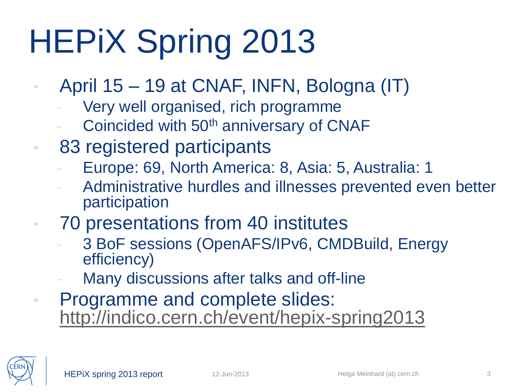# HEPiX Spring 2013

- April 15 19 at CNAF, INFN, Bologna (IT)
	- Very well organised, rich programme
	- Coincided with 50<sup>th</sup> anniversary of CNAF
- 83 registered participants
	- Europe: 69, North America: 8, Asia: 5, Australia: 1
	- Administrative hurdles and illnesses prevented even better participation
- 70 presentations from 40 institutes
	- 3 BoF sessions (OpenAFS/IPv6, CMDBuild, Energy efficiency)
	- Many discussions after talks and off-line
- Programme and complete slides: <http://indico.cern.ch/event/hepix-spring2013>

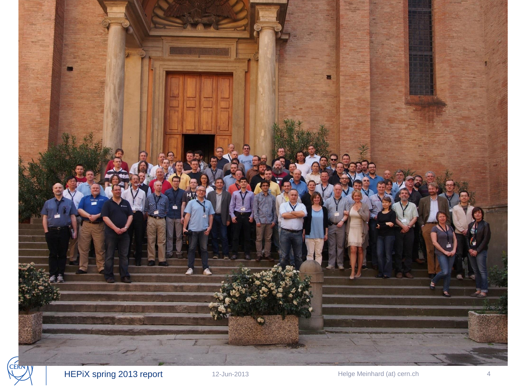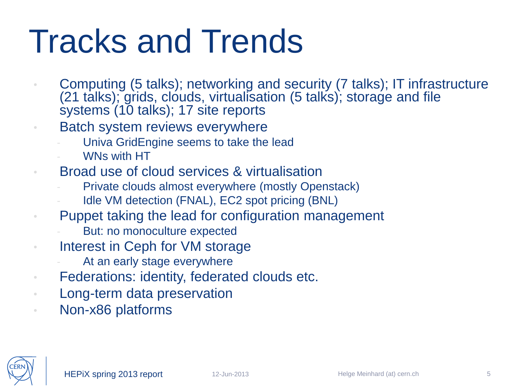#### Tracks and Trends

- Computing (5 talks); networking and security (7 talks); IT infrastructure (21 talks); grids, clouds, virtualisation (5 talks); storage and file systems (10 talks); 17 site reports
- Batch system reviews everywhere
	- Univa GridEngine seems to take the lead
	- WNs with HT
- Broad use of cloud services & virtualisation
	- Private clouds almost everywhere (mostly Openstack)
	- Idle VM detection (FNAL), EC2 spot pricing (BNL)
- Puppet taking the lead for configuration management
	- But: no monoculture expected
- Interest in Ceph for VM storage
	- At an early stage everywhere
- Federations: identity, federated clouds etc.
- Long-term data preservation
- Non-x86 platforms

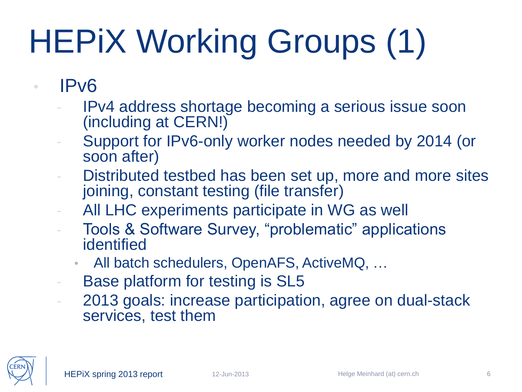# HEPiX Working Groups (1)

• IPv6

- IPv4 address shortage becoming a serious issue soon (including at CERN!)
- Support for IPv6-only worker nodes needed by 2014 (or soon after)
- Distributed testbed has been set up, more and more sites joining, constant testing (file transfer)
- All LHC experiments participate in WG as well
	- Tools & Software Survey, "problematic" applications identified
		- All batch schedulers, OpenAFS, ActiveMQ, ...
	- Base platform for testing is SL5
	- 2013 goals: increase participation, agree on dual-stack services, test them

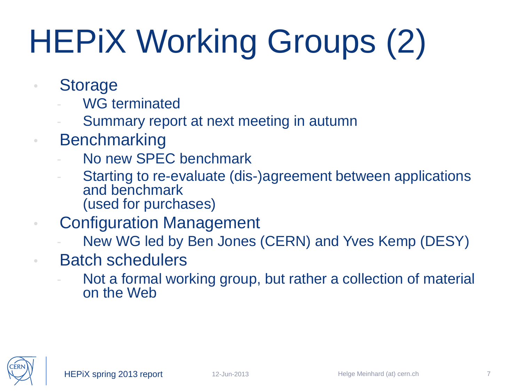# HEPiX Working Groups (2)

- **Storage** 
	- WG terminated
	- Summary report at next meeting in autumn
- Benchmarking
	- No new SPEC benchmark
	- Starting to re-evaluate (dis-)agreement between applications and benchmark (used for purchases)
	- Configuration Management
		- New WG led by Ben Jones (CERN) and Yves Kemp (DESY)
- Batch schedulers
	- Not a formal working group, but rather a collection of material on the Web

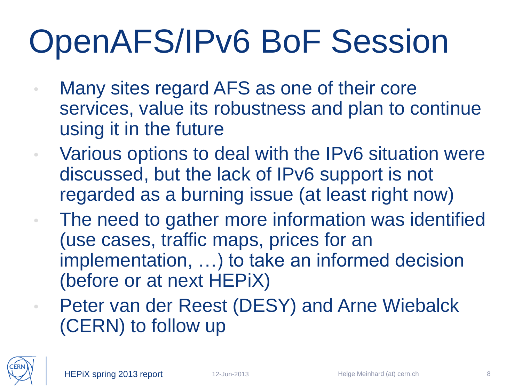## OpenAFS/IPv6 BoF Session

- Many sites regard AFS as one of their core services, value its robustness and plan to continue using it in the future
- Various options to deal with the IPv6 situation were discussed, but the lack of IPv6 support is not regarded as a burning issue (at least right now)
- The need to gather more information was identified (use cases, traffic maps, prices for an implementation, …) to take an informed decision (before or at next HEPiX)
	- Peter van der Reest (DESY) and Arne Wiebalck (CERN) to follow up

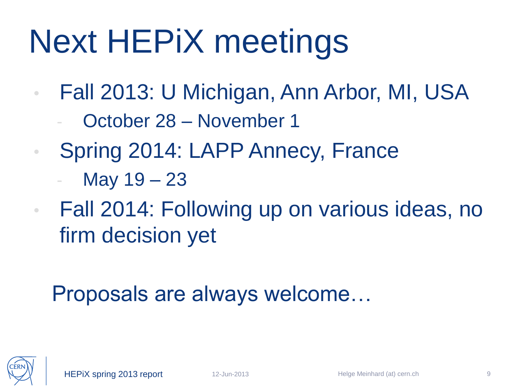## Next HEPiX meetings

- Fall 2013: U Michigan, Ann Arbor, MI, USA
	- October 28 November 1
- Spring 2014: LAPP Annecy, France
	- May  $19 23$
- Fall 2014: Following up on various ideas, no firm decision yet

Proposals are always welcome…